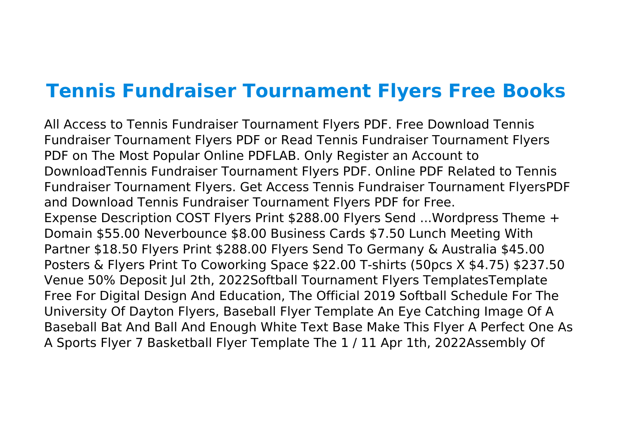## **Tennis Fundraiser Tournament Flyers Free Books**

All Access to Tennis Fundraiser Tournament Flyers PDF. Free Download Tennis Fundraiser Tournament Flyers PDF or Read Tennis Fundraiser Tournament Flyers PDF on The Most Popular Online PDFLAB. Only Register an Account to DownloadTennis Fundraiser Tournament Flyers PDF. Online PDF Related to Tennis Fundraiser Tournament Flyers. Get Access Tennis Fundraiser Tournament FlyersPDF and Download Tennis Fundraiser Tournament Flyers PDF for Free. Expense Description COST Flyers Print \$288.00 Flyers Send ...Wordpress Theme + Domain \$55.00 Neverbounce \$8.00 Business Cards \$7.50 Lunch Meeting With Partner \$18.50 Flyers Print \$288.00 Flyers Send To Germany & Australia \$45.00 Posters & Flyers Print To Coworking Space \$22.00 T-shirts (50pcs X \$4.75) \$237.50 Venue 50% Deposit Jul 2th, 2022Softball Tournament Flyers TemplatesTemplate Free For Digital Design And Education, The Official 2019 Softball Schedule For The University Of Dayton Flyers, Baseball Flyer Template An Eye Catching Image Of A Baseball Bat And Ball And Enough White Text Base Make This Flyer A Perfect One As A Sports Flyer 7 Basketball Flyer Template The 1 / 11 Apr 1th, 2022Assembly Of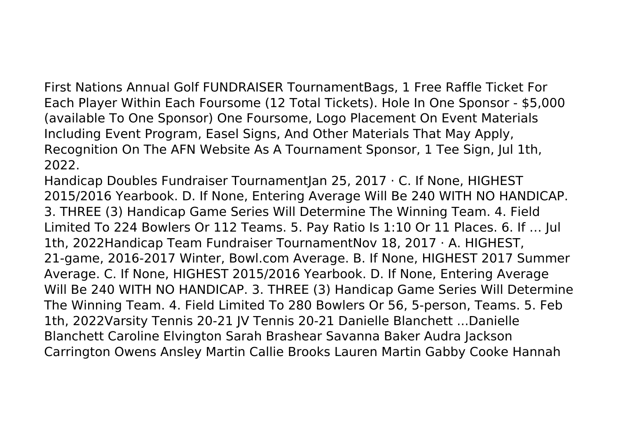First Nations Annual Golf FUNDRAISER TournamentBags, 1 Free Raffle Ticket For Each Player Within Each Foursome (12 Total Tickets). Hole In One Sponsor - \$5,000 (available To One Sponsor) One Foursome, Logo Placement On Event Materials Including Event Program, Easel Signs, And Other Materials That May Apply, Recognition On The AFN Website As A Tournament Sponsor, 1 Tee Sign, Jul 1th, 2022.

Handicap Doubles Fundraiser TournamentJan 25, 2017 · C. If None, HIGHEST 2015/2016 Yearbook. D. If None, Entering Average Will Be 240 WITH NO HANDICAP. 3. THREE (3) Handicap Game Series Will Determine The Winning Team. 4. Field Limited To 224 Bowlers Or 112 Teams. 5. Pay Ratio Is 1:10 Or 11 Places. 6. If … Jul 1th, 2022Handicap Team Fundraiser TournamentNov 18, 2017 · A. HIGHEST, 21-game, 2016-2017 Winter, Bowl.com Average. B. If None, HIGHEST 2017 Summer Average. C. If None, HIGHEST 2015/2016 Yearbook. D. If None, Entering Average Will Be 240 WITH NO HANDICAP. 3. THREE (3) Handicap Game Series Will Determine The Winning Team. 4. Field Limited To 280 Bowlers Or 56, 5-person, Teams. 5. Feb 1th, 2022Varsity Tennis 20-21 JV Tennis 20-21 Danielle Blanchett ...Danielle Blanchett Caroline Elvington Sarah Brashear Savanna Baker Audra Jackson Carrington Owens Ansley Martin Callie Brooks Lauren Martin Gabby Cooke Hannah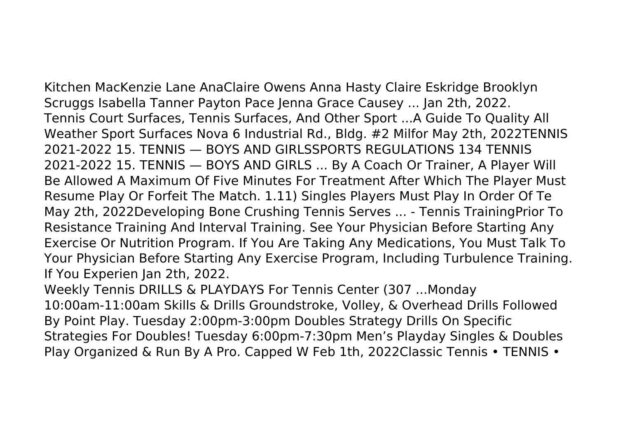Kitchen MacKenzie Lane AnaClaire Owens Anna Hasty Claire Eskridge Brooklyn Scruggs Isabella Tanner Payton Pace Jenna Grace Causey ... Jan 2th, 2022. Tennis Court Surfaces, Tennis Surfaces, And Other Sport ...A Guide To Quality All Weather Sport Surfaces Nova 6 Industrial Rd., Bldg. #2 Milfor May 2th, 2022TENNIS 2021-2022 15. TENNIS — BOYS AND GIRLSSPORTS REGULATIONS 134 TENNIS 2021-2022 15. TENNIS — BOYS AND GIRLS ... By A Coach Or Trainer, A Player Will Be Allowed A Maximum Of Five Minutes For Treatment After Which The Player Must Resume Play Or Forfeit The Match. 1.11) Singles Players Must Play In Order Of Te May 2th, 2022Developing Bone Crushing Tennis Serves ... - Tennis TrainingPrior To Resistance Training And Interval Training. See Your Physician Before Starting Any Exercise Or Nutrition Program. If You Are Taking Any Medications, You Must Talk To Your Physician Before Starting Any Exercise Program, Including Turbulence Training. If You Experien Jan 2th, 2022.

Weekly Tennis DRILLS & PLAYDAYS For Tennis Center (307 ...Monday 10:00am-11:00am Skills & Drills Groundstroke, Volley, & Overhead Drills Followed By Point Play. Tuesday 2:00pm-3:00pm Doubles Strategy Drills On Specific Strategies For Doubles! Tuesday 6:00pm-7:30pm Men's Playday Singles & Doubles Play Organized & Run By A Pro. Capped W Feb 1th, 2022Classic Tennis • TENNIS •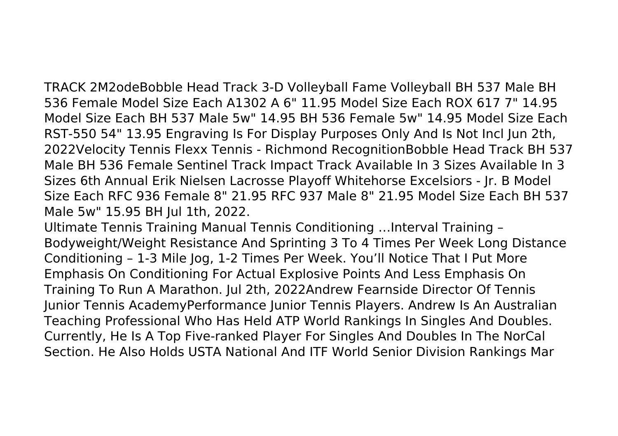TRACK 2M2odeBobble Head Track 3-D Volleyball Fame Volleyball BH 537 Male BH 536 Female Model Size Each A1302 A 6" 11.95 Model Size Each ROX 617 7" 14.95 Model Size Each BH 537 Male 5w" 14.95 BH 536 Female 5w" 14.95 Model Size Each RST-550 54" 13.95 Engraving Is For Display Purposes Only And Is Not Incl Jun 2th, 2022Velocity Tennis Flexx Tennis - Richmond RecognitionBobble Head Track BH 537 Male BH 536 Female Sentinel Track Impact Track Available In 3 Sizes Available In 3 Sizes 6th Annual Erik Nielsen Lacrosse Playoff Whitehorse Excelsiors - Jr. B Model Size Each RFC 936 Female 8" 21.95 RFC 937 Male 8" 21.95 Model Size Each BH 537 Male 5w" 15.95 BH Jul 1th, 2022.

Ultimate Tennis Training Manual Tennis Conditioning …Interval Training – Bodyweight/Weight Resistance And Sprinting 3 To 4 Times Per Week Long Distance Conditioning – 1-3 Mile Jog, 1-2 Times Per Week. You'll Notice That I Put More Emphasis On Conditioning For Actual Explosive Points And Less Emphasis On Training To Run A Marathon. Jul 2th, 2022Andrew Fearnside Director Of Tennis Junior Tennis AcademyPerformance Junior Tennis Players. Andrew Is An Australian Teaching Professional Who Has Held ATP World Rankings In Singles And Doubles. Currently, He Is A Top Five-ranked Player For Singles And Doubles In The NorCal Section. He Also Holds USTA National And ITF World Senior Division Rankings Mar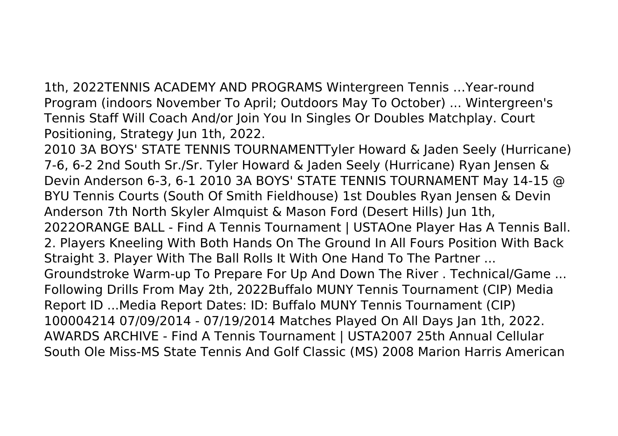1th, 2022TENNIS ACADEMY AND PROGRAMS Wintergreen Tennis …Year-round Program (indoors November To April; Outdoors May To October) ... Wintergreen's Tennis Staff Will Coach And/or Join You In Singles Or Doubles Matchplay. Court Positioning, Strategy Jun 1th, 2022.

2010 3A BOYS' STATE TENNIS TOURNAMENTTyler Howard & Jaden Seely (Hurricane) 7-6, 6-2 2nd South Sr./Sr. Tyler Howard & Jaden Seely (Hurricane) Ryan Jensen & Devin Anderson 6-3, 6-1 2010 3A BOYS' STATE TENNIS TOURNAMENT May 14-15 @ BYU Tennis Courts (South Of Smith Fieldhouse) 1st Doubles Ryan Jensen & Devin Anderson 7th North Skyler Almquist & Mason Ford (Desert Hills) Jun 1th, 2022ORANGE BALL - Find A Tennis Tournament | USTAOne Player Has A Tennis Ball. 2. Players Kneeling With Both Hands On The Ground In All Fours Position With Back Straight 3. Player With The Ball Rolls It With One Hand To The Partner ... Groundstroke Warm-up To Prepare For Up And Down The River . Technical/Game ... Following Drills From May 2th, 2022Buffalo MUNY Tennis Tournament (CIP) Media Report ID ...Media Report Dates: ID: Buffalo MUNY Tennis Tournament (CIP) 100004214 07/09/2014 - 07/19/2014 Matches Played On All Days Jan 1th, 2022. AWARDS ARCHIVE - Find A Tennis Tournament | USTA2007 25th Annual Cellular South Ole Miss-MS State Tennis And Golf Classic (MS) 2008 Marion Harris American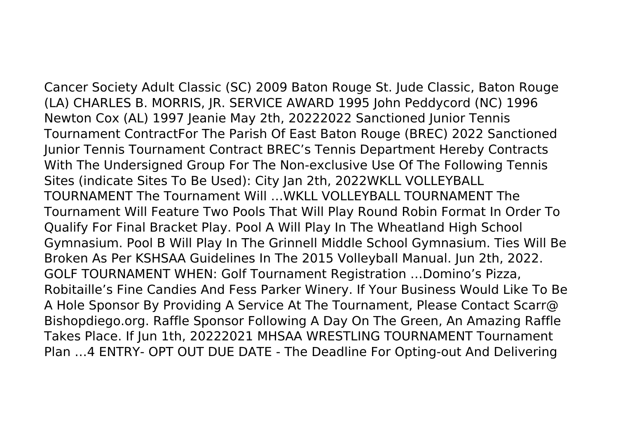Cancer Society Adult Classic (SC) 2009 Baton Rouge St. Jude Classic, Baton Rouge (LA) CHARLES B. MORRIS, JR. SERVICE AWARD 1995 John Peddycord (NC) 1996 Newton Cox (AL) 1997 Jeanie May 2th, 20222022 Sanctioned Junior Tennis Tournament ContractFor The Parish Of East Baton Rouge (BREC) 2022 Sanctioned Junior Tennis Tournament Contract BREC's Tennis Department Hereby Contracts With The Undersigned Group For The Non-exclusive Use Of The Following Tennis Sites (indicate Sites To Be Used): City Jan 2th, 2022WKLL VOLLEYBALL TOURNAMENT The Tournament Will …WKLL VOLLEYBALL TOURNAMENT The Tournament Will Feature Two Pools That Will Play Round Robin Format In Order To Qualify For Final Bracket Play. Pool A Will Play In The Wheatland High School Gymnasium. Pool B Will Play In The Grinnell Middle School Gymnasium. Ties Will Be Broken As Per KSHSAA Guidelines In The 2015 Volleyball Manual. Jun 2th, 2022. GOLF TOURNAMENT WHEN: Golf Tournament Registration …Domino's Pizza, Robitaille's Fine Candies And Fess Parker Winery. If Your Business Would Like To Be A Hole Sponsor By Providing A Service At The Tournament, Please Contact Scarr@ Bishopdiego.org. Raffle Sponsor Following A Day On The Green, An Amazing Raffle Takes Place. If Jun 1th, 20222021 MHSAA WRESTLING TOURNAMENT Tournament Plan …4 ENTRY- OPT OUT DUE DATE - The Deadline For Opting-out And Delivering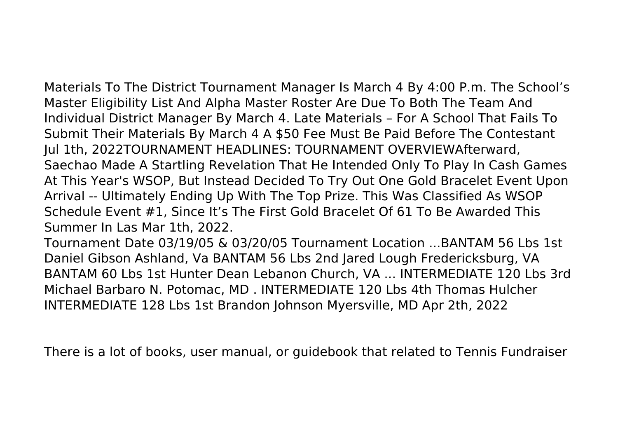Materials To The District Tournament Manager Is March 4 By 4:00 P.m. The School's Master Eligibility List And Alpha Master Roster Are Due To Both The Team And Individual District Manager By March 4. Late Materials – For A School That Fails To Submit Their Materials By March 4 A \$50 Fee Must Be Paid Before The Contestant Jul 1th, 2022TOURNAMENT HEADLINES: TOURNAMENT OVERVIEWAfterward, Saechao Made A Startling Revelation That He Intended Only To Play In Cash Games At This Year's WSOP, But Instead Decided To Try Out One Gold Bracelet Event Upon Arrival -- Ultimately Ending Up With The Top Prize. This Was Classified As WSOP Schedule Event #1, Since It's The First Gold Bracelet Of 61 To Be Awarded This Summer In Las Mar 1th, 2022.

Tournament Date 03/19/05 & 03/20/05 Tournament Location ...BANTAM 56 Lbs 1st Daniel Gibson Ashland, Va BANTAM 56 Lbs 2nd Jared Lough Fredericksburg, VA BANTAM 60 Lbs 1st Hunter Dean Lebanon Church, VA ... INTERMEDIATE 120 Lbs 3rd Michael Barbaro N. Potomac, MD . INTERMEDIATE 120 Lbs 4th Thomas Hulcher INTERMEDIATE 128 Lbs 1st Brandon Johnson Myersville, MD Apr 2th, 2022

There is a lot of books, user manual, or guidebook that related to Tennis Fundraiser